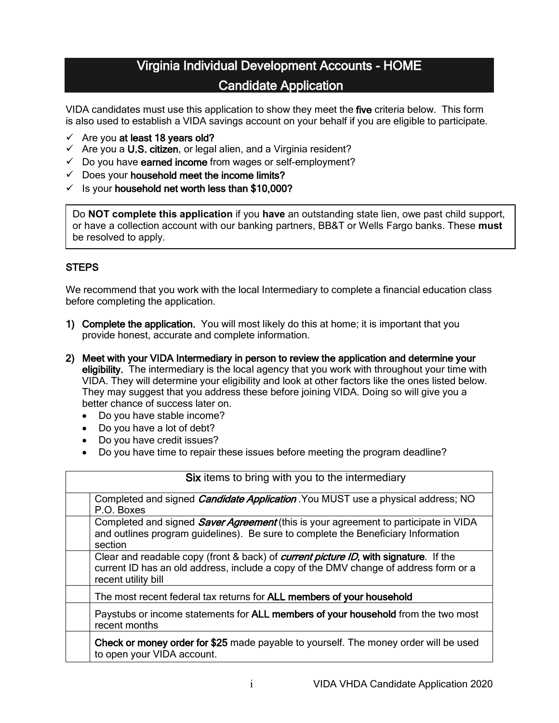# Virginia Individual Development Accounts - HOME Candidate Application

VIDA candidates must use this application to show they meet the five criteria below. This form is also used to establish a VIDA savings account on your behalf if you are eligible to participate.

- $\checkmark$  Are you at least 18 years old?
- $\checkmark$  Are you a U.S. citizen, or legal alien, and a Virginia resident?
- $\checkmark$  Do you have earned income from wages or self-employment?
- $\checkmark$  Does your household meet the income limits?
- $\checkmark$  is your household net worth less than \$10,000?

Do **NOT complete this application** if you **have** an outstanding state lien, owe past child support, or have a collection account with our banking partners, BB&T or Wells Fargo banks. These **must** be resolved to apply.

## **STEPS**

We recommend that you work with the local Intermediary to complete a financial education class before completing the application.

- 1) Complete the application. You will most likely do this at home; it is important that you provide honest, accurate and complete information.
- 2) Meet with your VIDA Intermediary in person to review the application and determine your eligibility. The intermediary is the local agency that you work with throughout your time with VIDA. They will determine your eligibility and look at other factors like the ones listed below. They may suggest that you address these before joining VIDA. Doing so will give you a better chance of success later on.
	- Do you have stable income?
	- Do you have a lot of debt?
	- Do you have credit issues?
	- Do you have time to repair these issues before meeting the program deadline?

| Six items to bring with you to the intermediary                                                                                                                                                             |  |  |
|-------------------------------------------------------------------------------------------------------------------------------------------------------------------------------------------------------------|--|--|
| Completed and signed <i>Candidate Application</i> You MUST use a physical address; NO<br>P.O. Boxes                                                                                                         |  |  |
| Completed and signed <i>Saver Agreement</i> (this is your agreement to participate in VIDA<br>and outlines program guidelines). Be sure to complete the Beneficiary Information<br>section                  |  |  |
| Clear and readable copy (front & back) of <i>current picture ID</i> , with signature. If the<br>current ID has an old address, include a copy of the DMV change of address form or a<br>recent utility bill |  |  |
| The most recent federal tax returns for ALL members of your household                                                                                                                                       |  |  |
| Paystubs or income statements for ALL members of your household from the two most<br>recent months                                                                                                          |  |  |
| Check or money order for \$25 made payable to yourself. The money order will be used<br>to open your VIDA account.                                                                                          |  |  |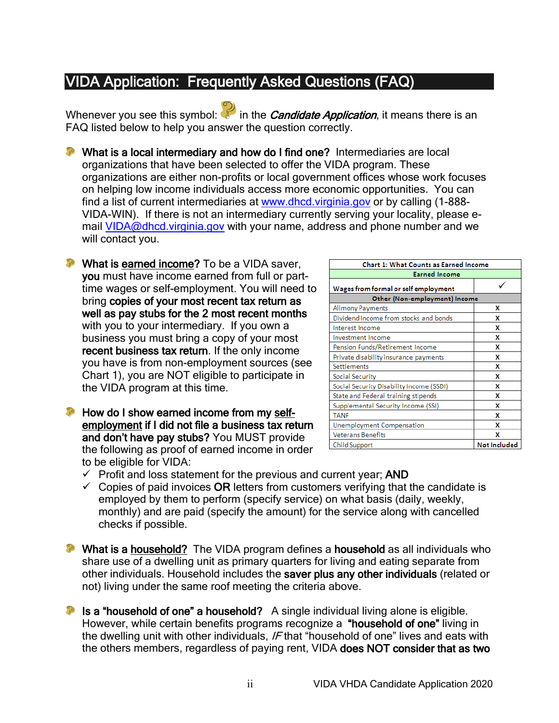# VIDA Application: Frequently Asked Questions (FAQ)

Whenever you see this symbol: in the *Candidate Application*, it means there is an FAQ listed below to help you answer the question correctly.

**P** What is a local intermediary and how do I find one? Intermediaries are local organizations that have been selected to offer the VIDA program. These organizations are either non-profits or local government offices whose work focuses on helping low income individuals access more economic opportunities. You can find a list of current intermediaries at [www.dhcd.virginia.gov](http://www.dhcd.virginia.gov/) or by calling (1-888- VIDA-WIN). If there is not an intermediary currently serving your locality, please e-mail [VIDA@dhcd.virginia.gov](mailto:VIDA@dhcd.virginia.gov) with your name, address and phone number and we will contact you.

**P** What is earned income? To be a VIDA saver, you must have income earned from full or parttime wages or self-employment. You will need to bring copies of your most recent tax return as well as pay stubs for the 2 most recent months with you to your intermediary. If you own a business you must bring a copy of your most recent business tax return. If the only income you have is from non-employment sources (see Chart 1), you are NOT eligible to participate in the VIDA program at this time.

**P** How do I show earned income from my selfemployment if I did not file a business tax return and don't have pay stubs? You MUST provide the following as proof of earned income in order to be eligible for VIDA:

| <b>Chart 1: What Counts as Earned Income</b> |                     |  |  |  |
|----------------------------------------------|---------------------|--|--|--|
| <b>Earned Income</b>                         |                     |  |  |  |
| Wages from formal or self employment         |                     |  |  |  |
| Other (Non-employment) Income                |                     |  |  |  |
| <b>Alimony Payments</b>                      | x                   |  |  |  |
| Dividend Income from stocks and bonds        | x                   |  |  |  |
| Interest Income                              | x                   |  |  |  |
| Investment Income                            | x                   |  |  |  |
| Pension Funds/Retirement Income              | x                   |  |  |  |
| Private disability insurance payments        | x                   |  |  |  |
| Settlements                                  | x                   |  |  |  |
| Social Security                              | x                   |  |  |  |
| Social Security Disability Income (SSDI)     | x                   |  |  |  |
| State and Federal training stipends          | x                   |  |  |  |
| Supplemental Security Income (SSI)           | x                   |  |  |  |
| <b>TANF</b>                                  | x                   |  |  |  |
| <b>Unemployment Compensation</b>             | x                   |  |  |  |
| <b>Veterans Benefits</b>                     | x                   |  |  |  |
| Child Support                                | <b>Not Included</b> |  |  |  |

- $\checkmark$  Profit and loss statement for the previous and current year; AND
- $\checkmark$  Copies of paid invoices OR letters from customers verifying that the candidate is employed by them to perform (specify service) on what basis (daily, weekly, monthly) and are paid (specify the amount) for the service along with cancelled checks if possible.

**P** What is a household? The VIDA program defines a household as all individuals who share use of a dwelling unit as primary quarters for living and eating separate from other individuals. Household includes the saver plus any other individuals (related or not) living under the same roof meeting the criteria above.

Is a "household of one" a household? A single individual living alone is eligible. However, while certain benefits programs recognize a "household of one" living in the dwelling unit with other individuals, IF that "household of one" lives and eats with the others members, regardless of paying rent, VIDA does NOT consider that as two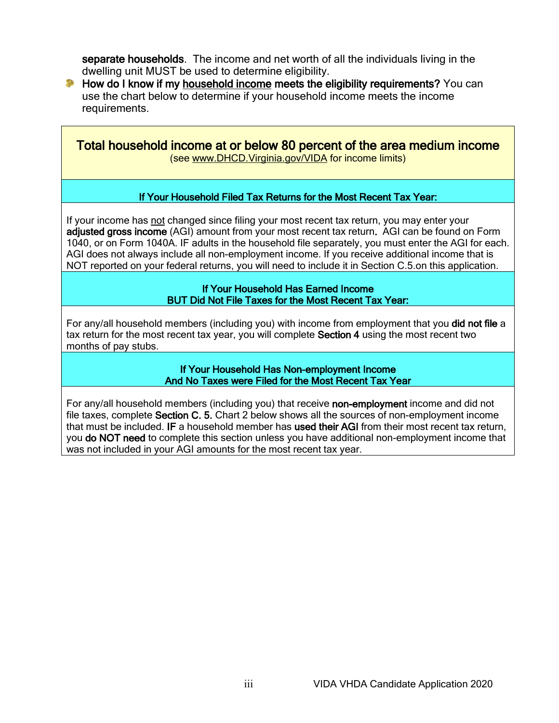separate households. The income and net worth of all the individuals living in the dwelling unit MUST be used to determine eligibility.

**P** How do I know if my household income meets the eligibility requirements? You can use the chart below to determine if your household income meets the income requirements.

Total household income at or below 80 percent of the area medium income (see [www.DHCD.Virginia.gov/VIDA](http://www.dhcd.virginia.gov/VIDA) for income limits)

## If Your Household Filed Tax Returns for the Most Recent Tax Year:

If your income has not changed since filing your most recent tax return, you may enter your adjusted gross income (AGI) amount from your most recent tax return. AGI can be found on Form 1040, or on Form 1040A. IF adults in the household file separately, you must enter the AGI for each. AGI does not always include all non-employment income. If you receive additional income that is NOT reported on your federal returns, you will need to include it in Section C.5.on this application.

> If Your Household Has Earned Income BUT Did Not File Taxes for the Most Recent Tax Year:

For any/all household members (including you) with income from employment that you did not file a tax return for the most recent tax year, you will complete Section 4 using the most recent two months of pay stubs.

> If Your Household Has Non-employment Income And No Taxes were Filed for the Most Recent Tax Year

For any/all household members (including you) that receive non-employment income and did not file taxes, complete Section C. 5. Chart 2 below shows all the sources of non-employment income that must be included. IF a household member has used their AGI from their most recent tax return, you do NOT need to complete this section unless you have additional non-employment income that was not included in your AGI amounts for the most recent tax year.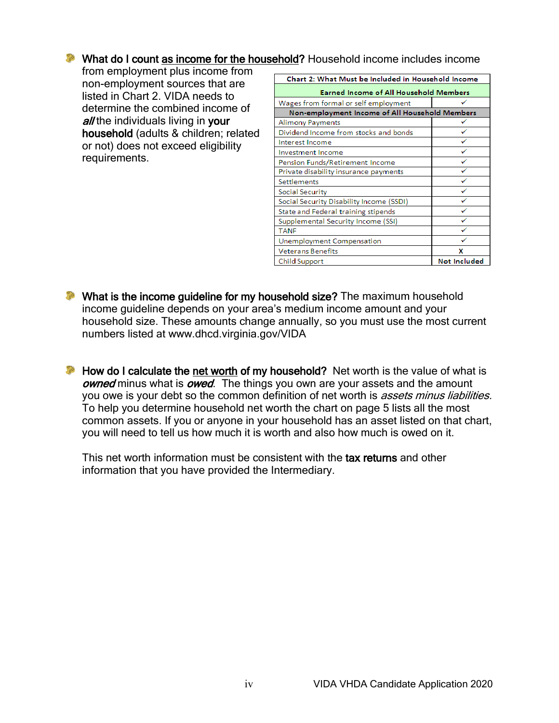# What do I count as income for the household? Household income includes income

from employment plus income from non-employment sources that are listed in Chart 2. VIDA needs to determine the combined income of all the individuals living in your household (adults & children; related or not) does not exceed eligibility requirements.

| Chart 2: What Must be Included in Household Income |                     |  |  |
|----------------------------------------------------|---------------------|--|--|
| <b>Earned Income of All Household Members</b>      |                     |  |  |
| Wages from formal or self employment               |                     |  |  |
| Non-employment Income of All Household Members     |                     |  |  |
| Alimony Payments                                   |                     |  |  |
| Dividend Income from stocks and bonds              |                     |  |  |
| Interest Income                                    |                     |  |  |
| <b>Investment Income</b>                           | ✓                   |  |  |
| Pension Funds/Retirement Income                    | ✓                   |  |  |
| Private disability insurance payments              | ✓                   |  |  |
| <b>Settlements</b>                                 | ✓                   |  |  |
| Social Security                                    | ✓                   |  |  |
| Social Security Disability Income (SSDI)           |                     |  |  |
| State and Federal training stipends                |                     |  |  |
| Supplemental Security Income (SSI)                 |                     |  |  |
| <b>TANF</b>                                        |                     |  |  |
| Unemployment Compensation                          |                     |  |  |
| <b>Veterans Benefits</b>                           | x                   |  |  |
| Child Support                                      | <b>Not Included</b> |  |  |

- **P** What is the income guideline for my household size? The maximum household income guideline depends on your area's medium income amount and your household size. These amounts change annually, so you must use the most current numbers listed at www.dhcd.virginia.gov/VIDA
- **P** How do I calculate the net worth of my household? Net worth is the value of what is owned minus what is owed. The things you own are your assets and the amount you owe is your debt so the common definition of net worth is *assets minus liabilities*. To help you determine household net worth the chart on page 5 lists all the most common assets. If you or anyone in your household has an asset listed on that chart, you will need to tell us how much it is worth and also how much is owed on it.

This net worth information must be consistent with the tax returns and other information that you have provided the Intermediary.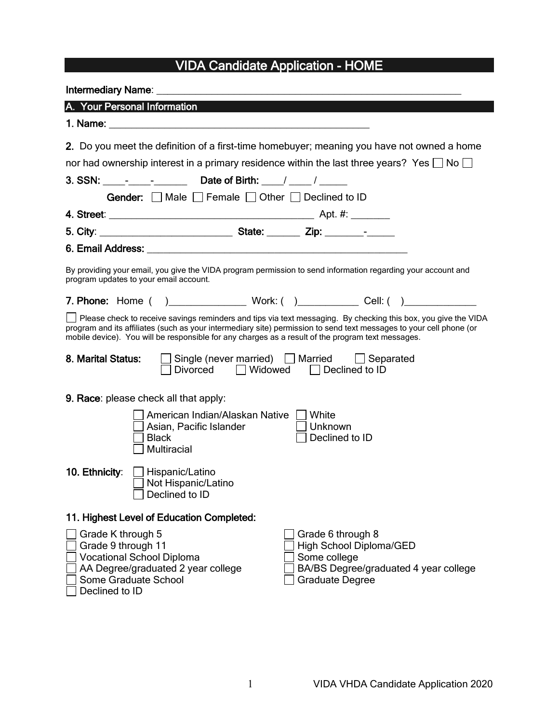# VIDA Candidate Application - HOME

| A. Your Personal Information                                                                                                                                                                                                                                                                                                               |
|--------------------------------------------------------------------------------------------------------------------------------------------------------------------------------------------------------------------------------------------------------------------------------------------------------------------------------------------|
|                                                                                                                                                                                                                                                                                                                                            |
| 2. Do you meet the definition of a first-time homebuyer; meaning you have not owned a home<br>nor had ownership interest in a primary residence within the last three years? Yes $\Box$ No $\Box$                                                                                                                                          |
| 3. SSN: _____-______________________Date of Birth: _____/ ______/ ______                                                                                                                                                                                                                                                                   |
| Gender: Π Male Π Female Π Other Π Declined to ID                                                                                                                                                                                                                                                                                           |
|                                                                                                                                                                                                                                                                                                                                            |
|                                                                                                                                                                                                                                                                                                                                            |
|                                                                                                                                                                                                                                                                                                                                            |
| By providing your email, you give the VIDA program permission to send information regarding your account and<br>program updates to your email account.                                                                                                                                                                                     |
|                                                                                                                                                                                                                                                                                                                                            |
| Please check to receive savings reminders and tips via text messaging. By checking this box, you give the VIDA<br>program and its affiliates (such as your intermediary site) permission to send text messages to your cell phone (or<br>mobile device). You will be responsible for any charges as a result of the program text messages. |
| □ Single (never married) □ Married □ Separated<br>8. Marital Status:<br>Divorced $\Box$ Widowed $\Box$ Declined to ID                                                                                                                                                                                                                      |
| 9. Race: please check all that apply:                                                                                                                                                                                                                                                                                                      |
| American Indian/Alaskan Native     White<br>Asian, Pacific Islander<br>  Unknown<br>Declined to ID<br><b>Black</b><br><b>Multiracial</b>                                                                                                                                                                                                   |
| 10. Ethnicity:   Hispanic/Latino<br>□ Not Hispanic/Latino<br>Declined to ID                                                                                                                                                                                                                                                                |
| 11. Highest Level of Education Completed:                                                                                                                                                                                                                                                                                                  |
| Grade K through 5<br>Grade 6 through 8<br>Grade 9 through 11<br>High School Diploma/GED<br><b>Vocational School Diploma</b><br>Some college<br>BA/BS Degree/graduated 4 year college<br>AA Degree/graduated 2 year college<br>Some Graduate School<br><b>Graduate Degree</b><br>Declined to ID                                             |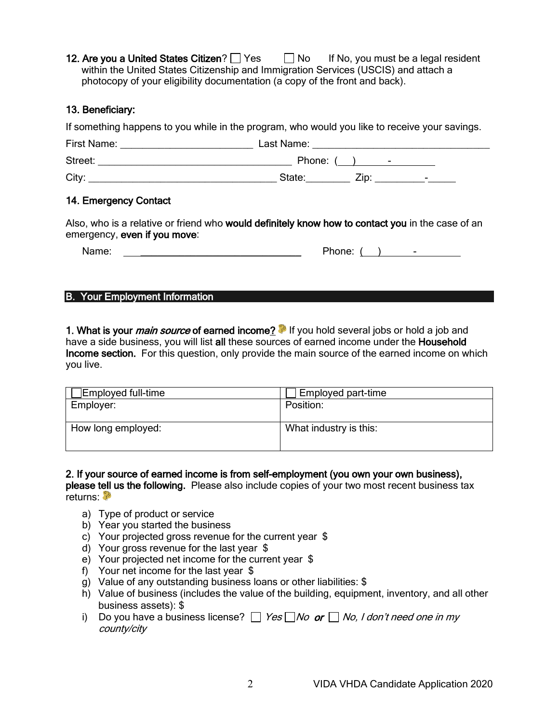12. Are you a United States Citizen?  $\Box$  Yes  $\Box$  No If No, you must be a legal resident within the United States Citizenship and Immigration Services (USCIS) and attach a photocopy of your eligibility documentation (a copy of the front and back).

#### 13. Beneficiary:

If something happens to you while in the program, who would you like to receive your savings.

| First Name: | Last Name: |                                    |
|-------------|------------|------------------------------------|
| Street:     | Phone: (   | ٠                                  |
| City:       | State:     | Zip <sup>.</sup><br>$\blacksquare$ |

#### 14. Emergency Contact

Also, who is a relative or friend who would definitely know how to contact you in the case of an emergency, even if you move:

| Name: | Phone: |  |
|-------|--------|--|
|       |        |  |

#### B. Your Employment Information

1. What is your *main source* of earned income? If you hold several jobs or hold a job and have a side business, you will list all these sources of earned income under the Household Income section. For this question, only provide the main source of the earned income on which you live.

2. If your source of earned income is from self-employment (you own your own business), please tell us the following. Please also include copies of your two most recent business tax returns: <sup>P</sup>

- a) Type of product or service
- b) Year you started the business
- c) Your projected gross revenue for the current year \$
- d) Your gross revenue for the last year \$
- e) Your projected net income for the current year \$
- f) Your net income for the last year \$
- g) Value of any outstanding business loans or other liabilities: \$
- h) Value of business (includes the value of the building, equipment, inventory, and all other business assets): \$
- i) Do you have a business license?  $\Box$  Yes  $\Box$  No or  $\Box$  No, I don't need one in my county/city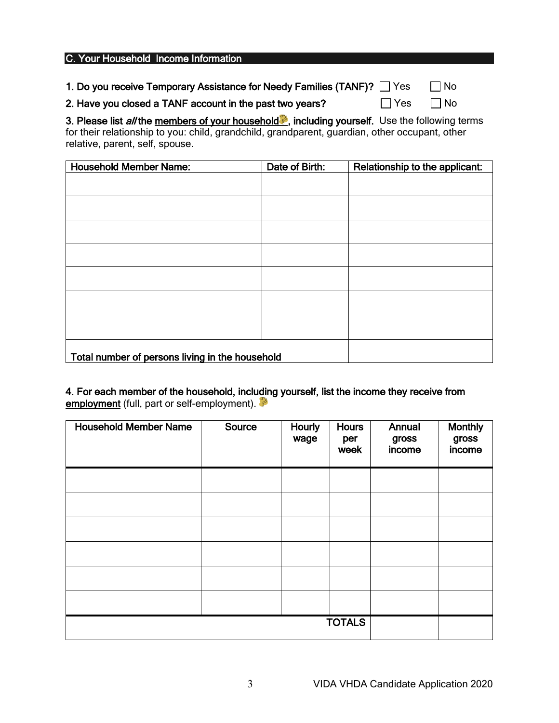| C. Your Household Income Information                                   |         |      |  |
|------------------------------------------------------------------------|---------|------|--|
|                                                                        |         |      |  |
| 1. Do you receive Temporary Assistance for Needy Families (TANF)? Thes |         | l No |  |
| 2. Have you closed a TANF account in the past two years?               | l I Yes | l No |  |

3. Please list al/the members of your household<sup>8</sup>, including yourself. Use the following terms for their relationship to you: child, grandchild, grandparent, guardian, other occupant, other relative, parent, self, spouse.

| <b>Household Member Name:</b>                   | Date of Birth: | Relationship to the applicant: |
|-------------------------------------------------|----------------|--------------------------------|
|                                                 |                |                                |
|                                                 |                |                                |
|                                                 |                |                                |
|                                                 |                |                                |
|                                                 |                |                                |
|                                                 |                |                                |
|                                                 |                |                                |
|                                                 |                |                                |
| Total number of persons living in the household |                |                                |

4. For each member of the household, including yourself, list the income they receive from employment (full, part or self-employment).

| <b>Household Member Name</b> | Source | Hourly<br>wage | <b>Hours</b><br>per<br>week | Annual<br>gross<br>income | <b>Monthly</b><br>gross<br>income |
|------------------------------|--------|----------------|-----------------------------|---------------------------|-----------------------------------|
|                              |        |                |                             |                           |                                   |
|                              |        |                |                             |                           |                                   |
|                              |        |                |                             |                           |                                   |
|                              |        |                |                             |                           |                                   |
|                              |        |                |                             |                           |                                   |
|                              |        |                |                             |                           |                                   |
|                              |        |                | <b>TOTALS</b>               |                           |                                   |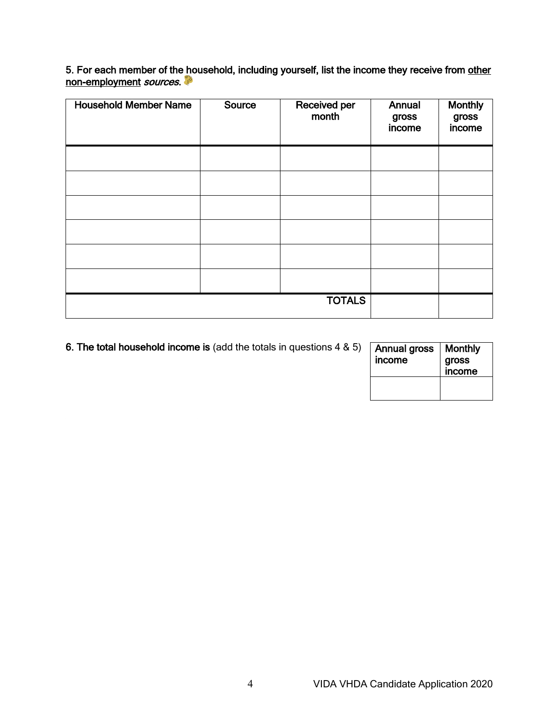5. For each member of the household, including yourself, list the income they receive from other non-employment *sources*.

| <b>Household Member Name</b> | Source | Received per<br>month | Annual<br>gross<br>income | <b>Monthly</b><br>gross<br>income |
|------------------------------|--------|-----------------------|---------------------------|-----------------------------------|
|                              |        |                       |                           |                                   |
|                              |        |                       |                           |                                   |
|                              |        |                       |                           |                                   |
|                              |        |                       |                           |                                   |
|                              |        |                       |                           |                                   |
|                              |        |                       |                           |                                   |
|                              |        | <b>TOTALS</b>         |                           |                                   |

| 6. The total household income is (add the totals in questions $4 \& 5$ ) | Annual gross<br>income | Monthly<br>gross<br><b>income</b> |
|--------------------------------------------------------------------------|------------------------|-----------------------------------|
|                                                                          |                        |                                   |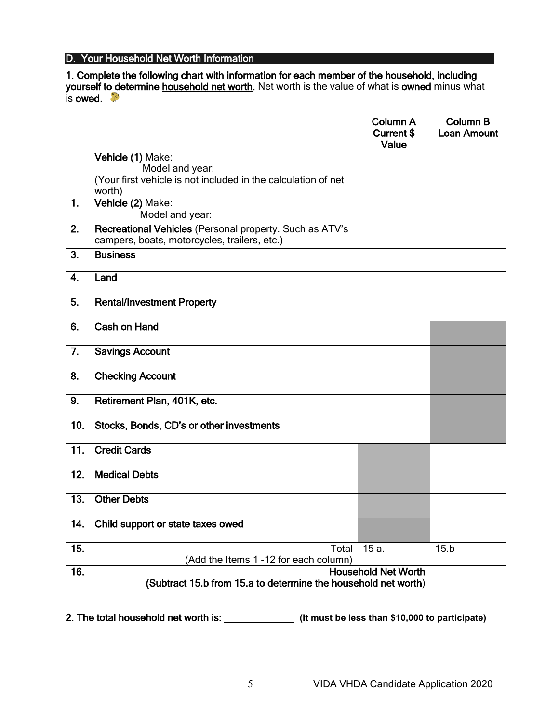## D. Your Household Net Worth Information

1. Complete the following chart with information for each member of the household, including yourself to determine household net worth. Net worth is the value of what is owned minus what is owed.  $\mathbb{P}$ 

|                 |                                                                                                                 | <b>Column A</b><br><b>Current \$</b><br>Value | <b>Column B</b><br><b>Loan Amount</b> |  |
|-----------------|-----------------------------------------------------------------------------------------------------------------|-----------------------------------------------|---------------------------------------|--|
|                 | Vehicle (1) Make:<br>Model and year:<br>(Your first vehicle is not included in the calculation of net<br>worth) |                                               |                                       |  |
| 1.              | Vehicle (2) Make:<br>Model and year:                                                                            |                                               |                                       |  |
| 2.              | Recreational Vehicles (Personal property. Such as ATV's<br>campers, boats, motorcycles, trailers, etc.)         |                                               |                                       |  |
| 3.              | <b>Business</b>                                                                                                 |                                               |                                       |  |
| 4.              | Land                                                                                                            |                                               |                                       |  |
| 5.              | <b>Rental/Investment Property</b>                                                                               |                                               |                                       |  |
| 6.              | <b>Cash on Hand</b>                                                                                             |                                               |                                       |  |
| 7.              | <b>Savings Account</b>                                                                                          |                                               |                                       |  |
| 8.              | <b>Checking Account</b>                                                                                         |                                               |                                       |  |
| 9.              | Retirement Plan, 401K, etc.                                                                                     |                                               |                                       |  |
| 10.             | Stocks, Bonds, CD's or other investments                                                                        |                                               |                                       |  |
| $\overline{11}$ | <b>Credit Cards</b>                                                                                             |                                               |                                       |  |
| 12.             | <b>Medical Debts</b>                                                                                            |                                               |                                       |  |
| 13.             | <b>Other Debts</b>                                                                                              |                                               |                                       |  |
| 14.             | Child support or state taxes owed                                                                               |                                               |                                       |  |
| 15.             | <b>Total</b><br>(Add the Items 1-12 for each column)                                                            | $15a$ .                                       | 15.b                                  |  |
| 16.             | <b>Household Net Worth</b><br>(Subtract 15.b from 15.a to determine the household net worth)                    |                                               |                                       |  |

2. The total household net worth is: **(It must be less than \$10,000 to participate)**